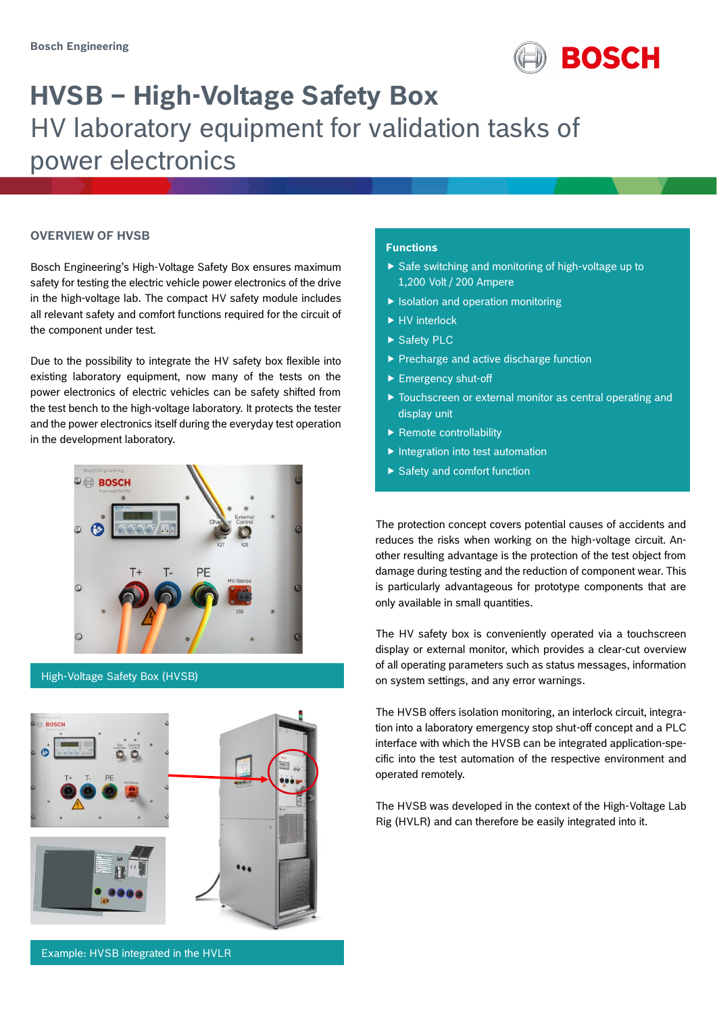

# **HVSB – High-Voltage Safety Box** HV laboratory equipment for validation tasks of power electronics

#### **OVERVIEW OF HVSB**

Bosch Engineering's High-Voltage Safety Box ensures maximum safety for testing the electric vehicle power electronics of the drive in the high-voltage lab. The compact HV safety module includes all relevant safety and comfort functions required for the circuit of the component under test.

Due to the possibility to integrate the HV safety box flexible into existing laboratory equipment, now many of the tests on the power electronics of electric vehicles can be safety shifted from the test bench to the high-voltage laboratory. It protects the tester and the power electronics itself during the everyday test operation in the development laboratory.



#### High-Voltage Safety Box (HVSB)



#### **Functions**

- $\triangleright$  Safe switching and monitoring of high-voltage up to 1,200 Volt / 200 Ampere
- $\blacktriangleright$  Isolation and operation monitoring
- ▶ HV interlock
- ▶ Safety PLC
- Precharge and active discharge function
- Emergency shut-off
- Touchscreen or external monitor as central operating and display unit
- $\blacktriangleright$  Remote controllability
- $\blacktriangleright$  Integration into test automation
- $\blacktriangleright$  Safety and comfort function

The protection concept covers potential causes of accidents and reduces the risks when working on the high-voltage circuit. Another resulting advantage is the protection of the test object from damage during testing and the reduction of component wear. This is particularly advantageous for prototype components that are only available in small quantities.

The HV safety box is conveniently operated via a touchscreen display or external monitor, which provides a clear-cut overview of all operating parameters such as status messages, information on system settings, and any error warnings.

The HVSB offers isolation monitoring, an interlock circuit, integration into a laboratory emergency stop shut-off concept and a PLC interface with which the HVSB can be integrated application-specific into the test automation of the respective environment and operated remotely.

The HVSB was developed in the context of the High-Voltage Lab Rig (HVLR) and can therefore be easily integrated into it.